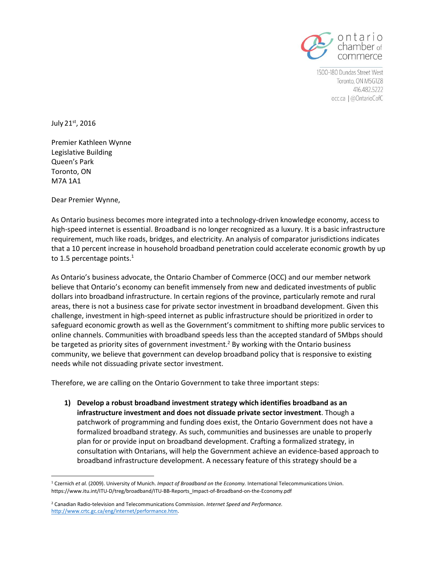

1500-180 Dundas Street West Toronto, ON M5G1Z8 416.482.5222 occ.ca | @OntarioCofC

July 21st, 2016

Premier Kathleen Wynne Legislative Building Queen's Park Toronto, ON M7A 1A1

Dear Premier Wynne,

As Ontario business becomes more integrated into a technology-driven knowledge economy, access to high-speed internet is essential. Broadband is no longer recognized as a luxury. It is a basic infrastructure requirement, much like roads, bridges, and electricity. An analysis of comparator jurisdictions indicates that a 10 percent increase in household broadband penetration could accelerate economic growth by up to 1.5 percentage points. $<sup>1</sup>$ </sup>

As Ontario's business advocate, the Ontario Chamber of Commerce (OCC) and our member network believe that Ontario's economy can benefit immensely from new and dedicated investments of public dollars into broadband infrastructure. In certain regions of the province, particularly remote and rural areas, there is not a business case for private sector investment in broadband development. Given this challenge, investment in high-speed internet as public infrastructure should be prioritized in order to safeguard economic growth as well as the Government's commitment to shifting more public services to online channels. Communities with broadband speeds less than the accepted standard of 5Mbps should be targeted as priority sites of government investment.<sup>2</sup> By working with the Ontario business community, we believe that government can develop broadband policy that is responsive to existing needs while not dissuading private sector investment.

Therefore, we are calling on the Ontario Government to take three important steps:

**1) Develop a robust broadband investment strategy which identifies broadband as an infrastructure investment and does not dissuade private sector investment**. Though a patchwork of programming and funding does exist, the Ontario Government does not have a formalized broadband strategy. As such, communities and businesses are unable to properly plan for or provide input on broadband development. Crafting a formalized strategy, in consultation with Ontarians, will help the Government achieve an evidence-based approach to broadband infrastructure development. A necessary feature of this strategy should be a

 $\overline{\phantom{a}}$ <sup>1</sup> Czernich *et al.* (2009). University of Munich. *Impact of Broadband on the Economy.* International Telecommunications Union. https://www.itu.int/ITU-D/treg/broadband/ITU-BB-Reports\_Impact-of-Broadband-on-the-Economy.pdf

<sup>2</sup> Canadian Radio-television and Telecommunications Commission. *Internet Speed and Performance.*  [http://www.crtc.gc.ca/eng/internet/performance.htm.](http://www.crtc.gc.ca/eng/internet/performance.htm)